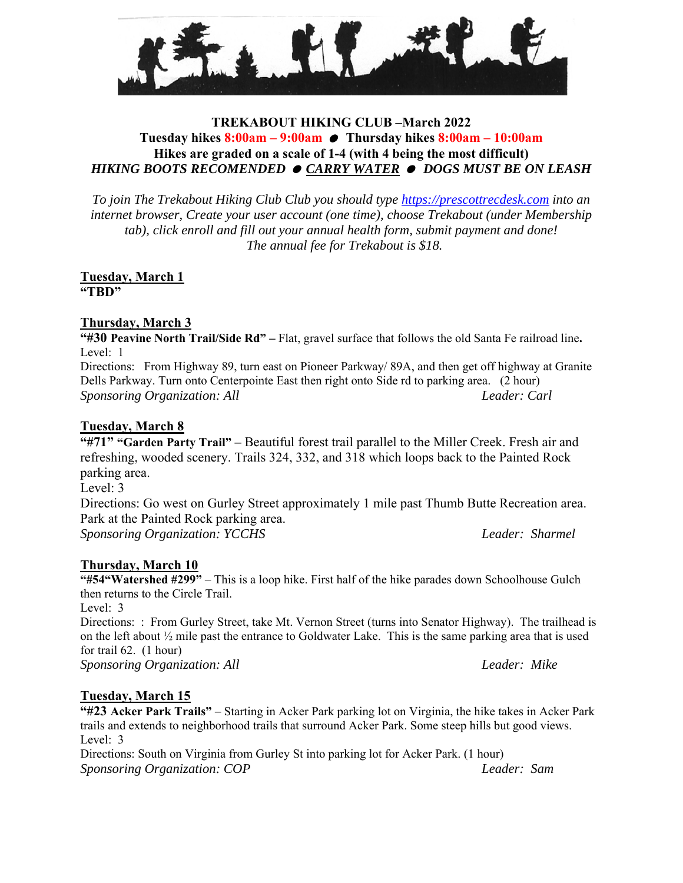## **TREKABOUT HIKING CLUB –March 2022 Tuesday hikes 8:00am – 9:00am Thursday hikes 8:00am – 10:00am Hikes are graded on a scale of 1-4 (with 4 being the most difficult)**  *HIKING BOOTS RECOMENDED ● CARRY WATER ● DOGS MUST BE ON LEASH*

*To join The Trekabout Hiking Club Club you should type https://prescottrecdesk.com into an internet browser, Create your user account (one time), choose Trekabout (under Membership tab), click enroll and fill out your annual health form, submit payment and done! The annual fee for Trekabout is \$18.* 

**Tuesday, March 1 "TBD"** 

# **Thursday, March 3**

**"#30 Peavine North Trail/Side Rd" –** Flat, gravel surface that follows the old Santa Fe railroad line**.** Level: 1

Directions: From Highway 89, turn east on Pioneer Parkway/ 89A, and then get off highway at Granite Dells Parkway. Turn onto Centerpointe East then right onto Side rd to parking area. (2 hour) *Sponsoring Organization: All Leader: Carl* 

#### **Tuesday, March 8**

**"#71" "Garden Party Trail" –** Beautiful forest trail parallel to the Miller Creek. Fresh air and refreshing, wooded scenery. Trails 324, 332, and 318 which loops back to the Painted Rock parking area.

Level: 3

Directions: Go west on Gurley Street approximately 1 mile past Thumb Butte Recreation area. Park at the Painted Rock parking area. *Sponsoring Organization: YCCHS Leader: Sharmel* 

## **Thursday, March 10**

**"#54"Watershed #299"** – This is a loop hike. First half of the hike parades down Schoolhouse Gulch then returns to the Circle Trail.

Level: 3

Directions: : From Gurley Street, take Mt. Vernon Street (turns into Senator Highway). The trailhead is on the left about ½ mile past the entrance to Goldwater Lake. This is the same parking area that is used for trail 62. (1 hour)

*Sponsoring Organization: All Leader: Mike* 

## **Tuesday, March 15**

**"#23 Acker Park Trails"** – Starting in Acker Park parking lot on Virginia, the hike takes in Acker Park trails and extends to neighborhood trails that surround Acker Park. Some steep hills but good views. Level: 3

Directions: South on Virginia from Gurley St into parking lot for Acker Park. (1 hour) *Sponsoring Organization: COP Leader: Sam*